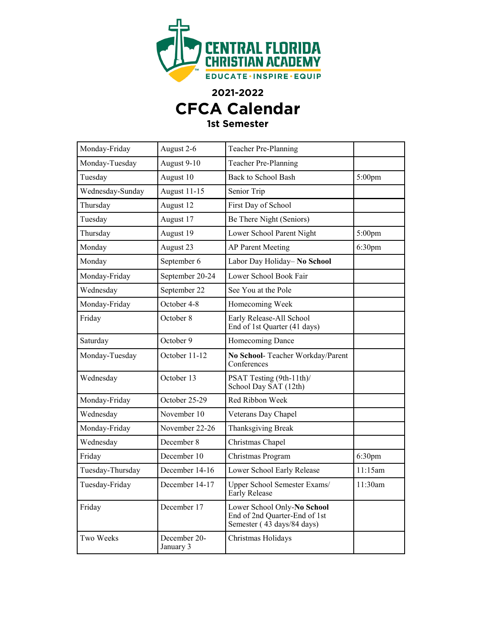

**2021-2022**

## **CFCA Calendar**

## **1st Semester**

| Monday-Friday    | August 2-6                | Teacher Pre-Planning                                                                       |                    |
|------------------|---------------------------|--------------------------------------------------------------------------------------------|--------------------|
| Monday-Tuesday   | August 9-10               | Teacher Pre-Planning                                                                       |                    |
| Tuesday          | August 10                 | <b>Back to School Bash</b>                                                                 | 5:00pm             |
| Wednesday-Sunday | <b>August 11-15</b>       | Senior Trip                                                                                |                    |
| Thursday         | August 12                 | First Day of School                                                                        |                    |
| Tuesday          | August 17                 | Be There Night (Seniors)                                                                   |                    |
| Thursday         | August 19                 | Lower School Parent Night                                                                  | 5:00pm             |
| Monday           | August 23                 | <b>AP Parent Meeting</b>                                                                   | 6:30 <sub>pm</sub> |
| Monday           | September 6               | Labor Day Holiday- No School                                                               |                    |
| Monday-Friday    | September 20-24           | Lower School Book Fair                                                                     |                    |
| Wednesday        | September 22              | See You at the Pole                                                                        |                    |
| Monday-Friday    | October 4-8               | Homecoming Week                                                                            |                    |
| Friday           | October 8                 | Early Release-All School<br>End of 1st Quarter (41 days)                                   |                    |
| Saturday         | October 9                 | Homecoming Dance                                                                           |                    |
| Monday-Tuesday   | October 11-12             | No School- Teacher Workday/Parent<br>Conferences                                           |                    |
| Wednesday        | October 13                | PSAT Testing (9th-11th)/<br>School Day SAT (12th)                                          |                    |
| Monday-Friday    | October 25-29             | Red Ribbon Week                                                                            |                    |
| Wednesday        | November 10               | Veterans Day Chapel                                                                        |                    |
| Monday-Friday    | November 22-26            | Thanksgiving Break                                                                         |                    |
| Wednesday        | December 8                | Christmas Chapel                                                                           |                    |
| Friday           | December 10               | Christmas Program                                                                          | 6:30 <sub>pm</sub> |
| Tuesday-Thursday | December 14-16            | Lower School Early Release                                                                 | 11:15am            |
| Tuesday-Friday   | December 14-17            | Upper School Semester Exams/<br>Early Release                                              | 11:30am            |
| Friday           | December 17               | Lower School Only-No School<br>End of 2nd Quarter-End of 1st<br>Semester (43 days/84 days) |                    |
| Two Weeks        | December 20-<br>January 3 | Christmas Holidays                                                                         |                    |